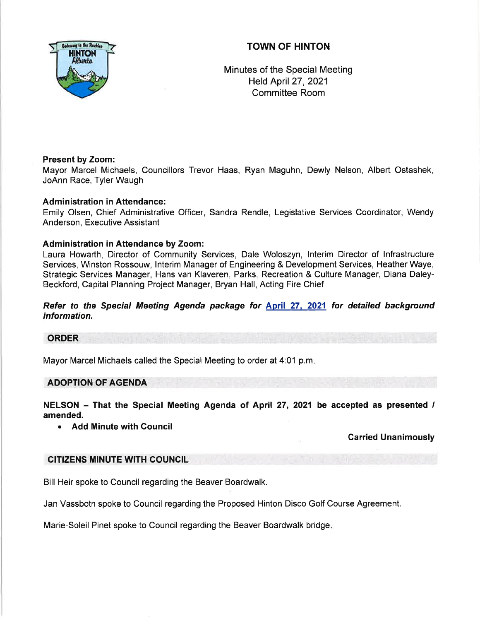# TOWN OF HINTON



Minutes of the Special Meeting Held April 27,2021 Committee Room

## Present by Zoom:

Mayor Marcel Michaels, Councillors Trevor Haas, Ryan Maguhn, Dewly Nelson, Albert Ostashek, JoAnn Race, Tyler Waugh

## Administration in Attendance:

Emily Olsen, Chief Administrative Officer, Sandra Rendle, Legislative Services Coordinator, Wendy Anderson, Executive Assistant

## Administration in Attendance by Zoom:

Laura Howarth, Director of Community Services, Dale Woloszyn, lnterim Director of lnfrastructure Services, Winston Rossouw, lnterim Manager of Engineering & Development Services, Heather Waye, Strategic Services Manager, Hans van Klaveren, Parks, Recreation & Culture Manager, Diana Daley-Beckford, Capital Planning Project Manager, Bryan Hall, Acting Fire Chief

Refer to the Special Meeting Agenda package for April 27, 2021 for detailed background information.

### **ORDER**

Mayor Marcel Michaels called the Special Meeting to order at 4:01 p.m

#### ADOPTION OF AGENDA

NELSON - That the Special Meeting Agenda of April 27, 2021 be accepted as presented / amended.

. Add Minute with Gouncil

## Carried Unanimously

#### CITIZENS MINUTE WITH COUNCIL

Bill Heir spoke to Council regarding the Beaver Boardwalk.

Jan Vassbotn spoke to Council regarding the Proposed Hinton Disco Golf Course Agreement.

Marie-Soleil Pinet spoke to Council regarding the Beaver Boardwalk bridge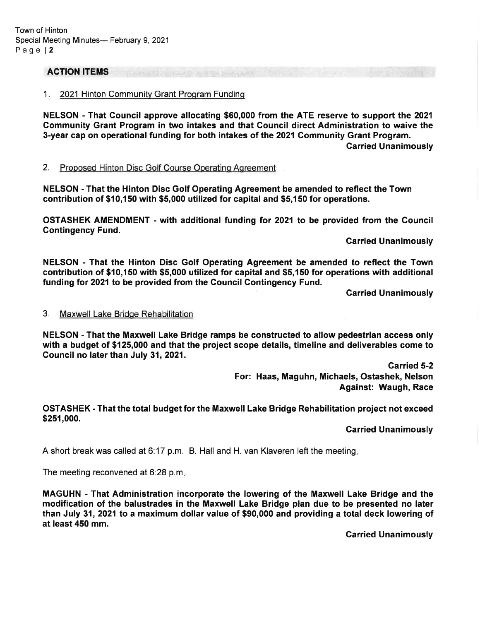### **ACTION ITEMS**

#### 1. 2021 Hinton Community Grant Program Funding

NELSON - That Council approve allocating \$60,000 from the ATE reserve to support the 2021 Community Grant Program in two intakes and that Council direct Administration to waive the 3-year cap on operational funding for both intakes of the 2021 Community Grant Program. Garried Unanimously

#### 2. Proposed Hinton Disc Golf Course Operating Agreement

NELSON - That the Hinton Disc Golf Operating Agreement be amended to reflect the Town contribution of \$10,150 with \$5,000 utilized for capital and \$5,150 for operations.

OSTASHEK AMENDMENT - with additional funding tor 2021 to be provided from the Council **Contingency Fund.** 

**Carried Unanimously** 

NELSON - That the Hinton Disc Golf Operating Agreement be amended to reflect the Town contribution of \$10,150 with \$5,000 utilized for capital and \$5,150 for operations with additional funding for 2021 to be provided from the Council Contingency Fund.

Garried Unanimously

#### 3. Maxwell Lake Bridoe Rehabilitation

NELSON - That the Maxwell Lake Bridge ramps be constructed to allow pedestrian access only with a budget of \$125,000 and that the project scope details, timeline and deliverables come to Gouncif no later than July 31,2021.

> Garried 5-2 For: Haas, Maguhn, Michaels, Ostashek, Nelson Against: Waugh, Race

#### OSTASHEK - That the total budget for the Maxwell Lake Bridge Rehabilitation project not exceed \$251,000.

Garried Unanimously

A short break was called at 6:17 p.m. B. Hall and H. van Klaveren left the meeting.

The meeting reconvened at 6:28 p.m

MAGUHN - That Administration incorporate the lowering of the Maxwell Lake Bridge and the modification of the balustrades in the Maxwell Lake Bridge plan due to be presented no later than July 31,2021 to a maximum dollar value of \$90,000 and providing a total deck lowering of at least 450 mm.

Carried Unanimously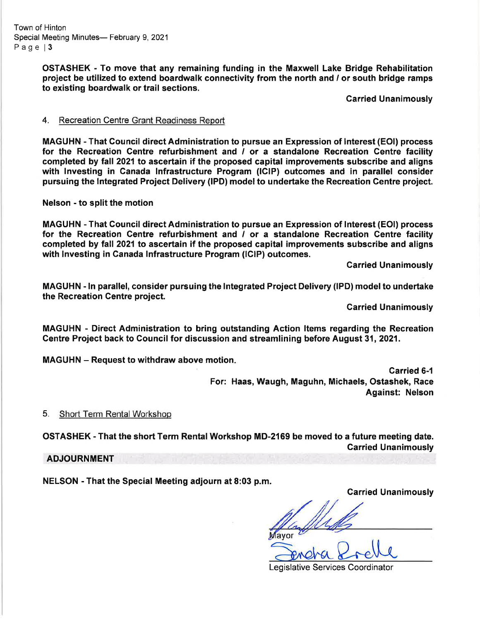Town of Hinton Special Meeting Minutes- February 9, 2021 Page | 3

> OSTASHEK - To move that any remaining funding in the Maxwell Lake Bridge Rehabilitation project be utilized to extend boardwalk connectivity from the north and / or south bridge ramps to existing boardwalk or trail sections.

> > Carried Unanimously

#### 4. Recreation Centre Grant Readiness Report

MAGUHN - That Council direct Administration to pursue an Expression of lnterest (EOl) process for the Recreation Centre refurbishment and  $\ell$  or a standalone Recreation Centre facility completed by fall 2021 to ascertain if the proposed capital improvements subscribe and aligns with Investing in Canada lnfrastructure Program (lClP) outcomes and in parallel consider pursuing the Integrated Project Delivery (IPD) model to undertake the Recreation Centre project.

Nelson - to split the motion

MAGUHN - That Council direct Administration to pursue an Expression of Interest (EOl) process for the Recreation Centre refurbishment and / or a standalone Recreation Centre facility completed by fall 2021 to ascertain if the proposed capital improvements subscribe and aligns with lnvesting in Canada lnfrastructure Program (lGlP) outcomes.

Carried Unanimously

MAGUHN - ln parallel, consider pursuing the lntegrated Project Delivery (lPD) modelto undertake the Recreation Centre project.

Garried Unanimously

MAGUHN ' Direct Administration to bring outstanding Action ltems regarding the Recreation Centre Project back to Council for discussion and streamlining before August 31,2021.

MAGUHN – Request to withdraw above motion.

Garried 6-1 For: Haas, Waugh, Maguhn, Michaels, Ostashek, Race Against: Nelson

5. Short Term RentalWorkshop

OSTASHEK - That the short Term RentalWorkshop MD-2169 be moved to a future meeting date. Garried Unanimously

ADJOURNMENT

NELSON - That the Special Meeting adjourn at 8:03 p.m.

Garried Unanimously

Legislative Services Coordinator